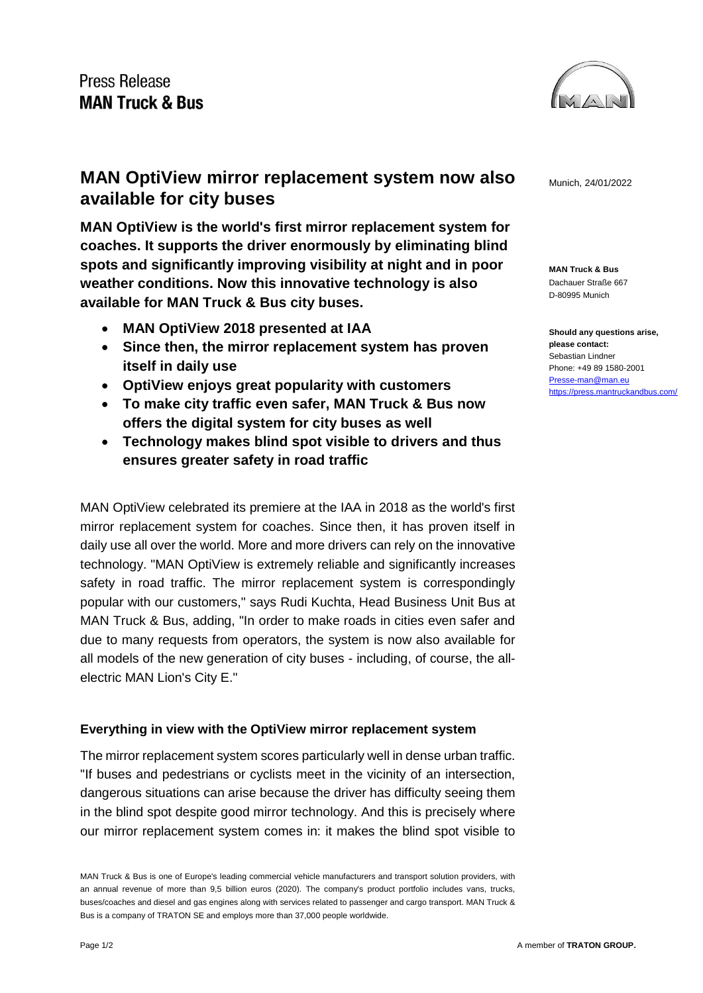

**MAN Truck & Bus** Dachauer Straße 667 D-80995 Munich

**Should any questions arise, please contact:** Sebastian Lindner Phone: +49 89 1580-2001 [Presse-man@man.eu](mailto:Presse-man@man.eu) <https://press.mantruckandbus.com/>

## **MAN OptiView mirror replacement system now also** Munich, 24/01/2022 **available for city buses**

**MAN OptiView is the world's first mirror replacement system for coaches. It supports the driver enormously by eliminating blind spots and significantly improving visibility at night and in poor weather conditions. Now this innovative technology is also available for MAN Truck & Bus city buses.**

- **MAN OptiView 2018 presented at IAA**
- **Since then, the mirror replacement system has proven itself in daily use**
- **OptiView enjoys great popularity with customers**
- **To make city traffic even safer, MAN Truck & Bus now offers the digital system for city buses as well**
- **Technology makes blind spot visible to drivers and thus ensures greater safety in road traffic**

MAN OptiView celebrated its premiere at the IAA in 2018 as the world's first mirror replacement system for coaches. Since then, it has proven itself in daily use all over the world. More and more drivers can rely on the innovative technology. "MAN OptiView is extremely reliable and significantly increases safety in road traffic. The mirror replacement system is correspondingly popular with our customers," says Rudi Kuchta, Head Business Unit Bus at MAN Truck & Bus, adding, "In order to make roads in cities even safer and due to many requests from operators, the system is now also available for all models of the new generation of city buses - including, of course, the allelectric MAN Lion's City E."

## **Everything in view with the OptiView mirror replacement system**

The mirror replacement system scores particularly well in dense urban traffic. "If buses and pedestrians or cyclists meet in the vicinity of an intersection, dangerous situations can arise because the driver has difficulty seeing them in the blind spot despite good mirror technology. And this is precisely where our mirror replacement system comes in: it makes the blind spot visible to

MAN Truck & Bus is one of Europe's leading commercial vehicle manufacturers and transport solution providers, with an annual revenue of more than 9,5 billion euros (2020). The company's product portfolio includes vans, trucks, buses/coaches and diesel and gas engines along with services related to passenger and cargo transport. MAN Truck & Bus is a company of TRATON SE and employs more than 37,000 people worldwide.